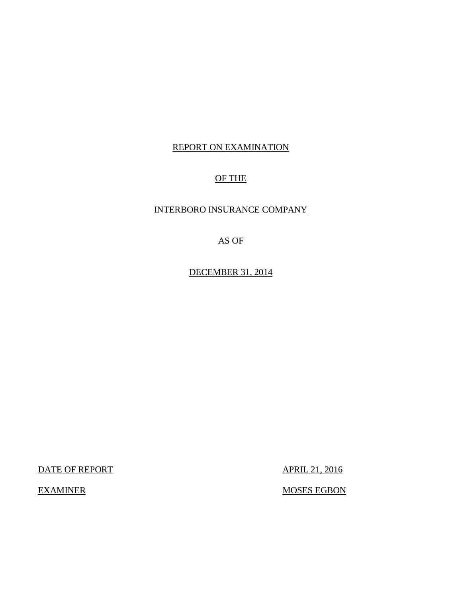## REPORT ON EXAMINATION

## OF THE

## INTERBORO INSURANCE COMPANY

## AS OF

DECEMBER 31, 2014

DATE OF REPORT APRIL 21, 2016

EXAMINER MOSES EGBON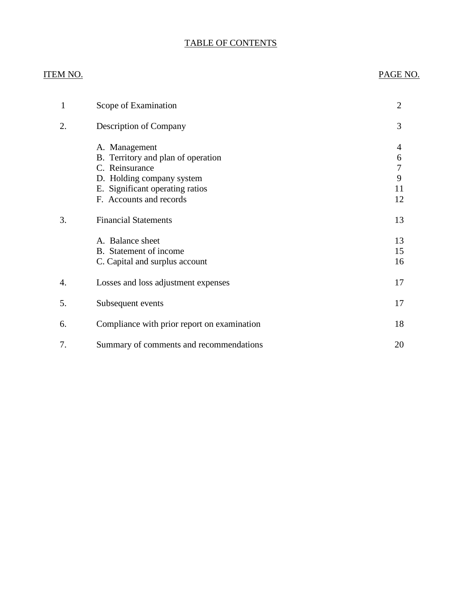## TABLE OF CONTENTS

## ITEM NO. PAGE NO.

| 1  | Scope of Examination                                                                                                                                             | $\overline{2}$                            |
|----|------------------------------------------------------------------------------------------------------------------------------------------------------------------|-------------------------------------------|
| 2. | Description of Company                                                                                                                                           | 3                                         |
|    | A. Management<br>B. Territory and plan of operation<br>C. Reinsurance<br>D. Holding company system<br>E. Significant operating ratios<br>F. Accounts and records | 4<br>6<br>$\overline{7}$<br>9<br>11<br>12 |
| 3. | <b>Financial Statements</b>                                                                                                                                      | 13                                        |
|    | A. Balance sheet<br>B. Statement of income<br>C. Capital and surplus account                                                                                     | 13<br>15<br>16                            |
| 4. | Losses and loss adjustment expenses                                                                                                                              | 17                                        |
| 5. | Subsequent events                                                                                                                                                | 17                                        |
| 6. | Compliance with prior report on examination                                                                                                                      | 18                                        |
| 7. | Summary of comments and recommendations                                                                                                                          | 20                                        |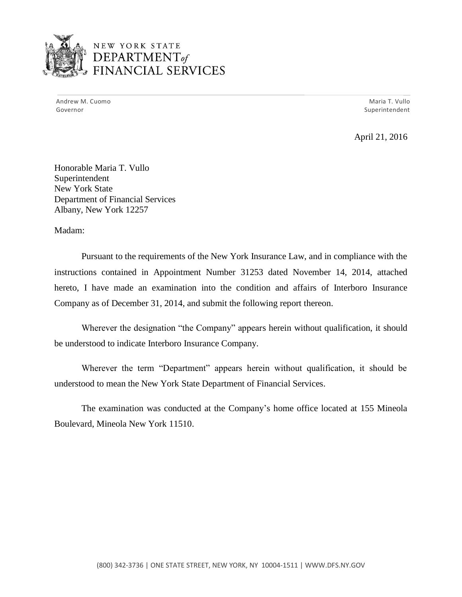

## NEW YORK STATE <sup>1</sup>*DEPARTMENTof*  FINANCIAL SERVICES

Andrew M. Cuomo **Maria T. Vullo** Maria T. Vullo Maria T. Vullo Maria T. Vullo Maria T. Vullo Governor Superintendent and Superintendent and Superintendent and Superintendent and Superintendent and Superintendent

April 21, 2016

Honorable Maria T. Vullo Superintendent New York State Department of Financial Services Albany, New York 12257

Madam:

Pursuant to the requirements of the New York Insurance Law, and in compliance with the instructions contained in Appointment Number 31253 dated November 14, 2014, attached hereto, I have made an examination into the condition and affairs of Interboro Insurance Company as of December 31, 2014, and submit the following report thereon.

 Wherever the designation "the Company" appears herein without qualification, it should be understood to indicate Interboro Insurance Company.

 Wherever the term "Department" appears herein without qualification, it should be understood to mean the New York State Department of Financial Services.

The examination was conducted at the Company's home office located at 155 Mineola Boulevard, Mineola New York 11510.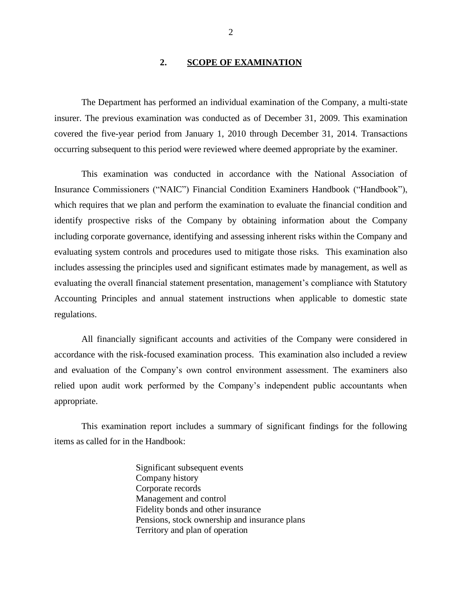#### <span id="page-3-0"></span>**2. SCOPE OF EXAMINATION**

The Department has performed an individual examination of the Company*,* a multi-state insurer. The previous examination was conducted as of December 31, 2009. This examination covered the five-year period from January 1, 2010 through December 31, 2014. Transactions occurring subsequent to this period were reviewed where deemed appropriate by the examiner.

 evaluating the overall financial statement presentation, management's compliance with Statutory This examination was conducted in accordance with the National Association of Insurance Commissioners ("NAIC") Financial Condition Examiners Handbook ("Handbook"), which requires that we plan and perform the examination to evaluate the financial condition and identify prospective risks of the Company by obtaining information about the Company including corporate governance, identifying and assessing inherent risks within the Company and evaluating system controls and procedures used to mitigate those risks. This examination also includes assessing the principles used and significant estimates made by management, as well as Accounting Principles and annual statement instructions when applicable to domestic state regulations.

 and evaluation of the Company's own control environment assessment. The examiners also relied upon audit work performed by the Company's independent public accountants when All financially significant accounts and activities of the Company were considered in accordance with the risk-focused examination process. This examination also included a review appropriate.

This examination report includes a summary of significant findings for the following items as called for in the Handbook:

> Significant subsequent events Company history Corporate records Management and control Fidelity bonds and other insurance Pensions, stock ownership and insurance plans Territory and plan of operation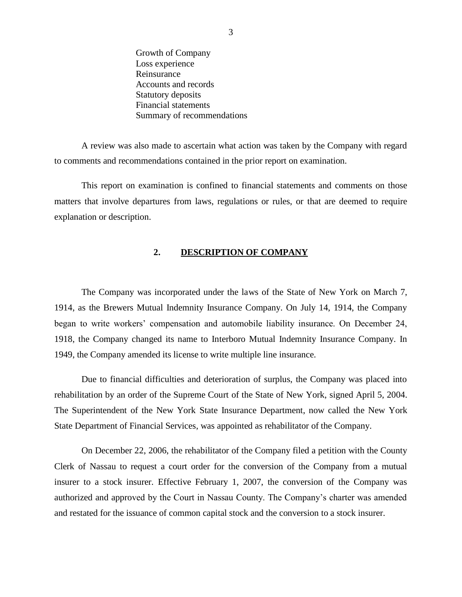Growth of Company Loss experience Reinsurance Accounts and records Statutory deposits Financial statements Summary of recommendations

A review was also made to ascertain what action was taken by the Company with regard to comments and recommendations contained in the prior report on examination.

This report on examination is confined to financial statements and comments on those matters that involve departures from laws, regulations or rules, or that are deemed to require explanation or description.

#### <span id="page-4-0"></span>**2. DESCRIPTION OF COMPANY**

 began to write workers' compensation and automobile liability insurance. On December 24, The Company was incorporated under the laws of the State of New York on March 7, 1914, as the Brewers Mutual Indemnity Insurance Company. On July 14, 1914, the Company 1918, the Company changed its name to Interboro Mutual Indemnity Insurance Company. In 1949, the Company amended its license to write multiple line insurance.

Due to financial difficulties and deterioration of surplus, the Company was placed into rehabilitation by an order of the Supreme Court of the State of New York, signed April 5, 2004. The Superintendent of the New York State Insurance Department, now called the New York State Department of Financial Services, was appointed as rehabilitator of the Company.

 authorized and approved by the Court in Nassau County. The Company's charter was amended On December 22, 2006, the rehabilitator of the Company filed a petition with the County Clerk of Nassau to request a court order for the conversion of the Company from a mutual insurer to a stock insurer. Effective February 1, 2007, the conversion of the Company was and restated for the issuance of common capital stock and the conversion to a stock insurer.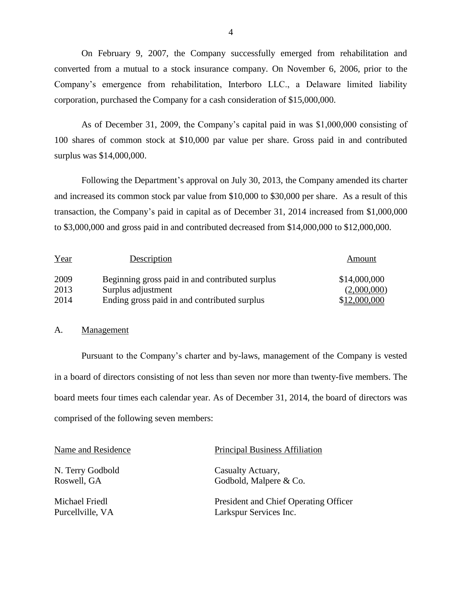Company's emergence from rehabilitation, Interboro LLC., a Delaware limited liability On February 9, 2007, the Company successfully emerged from rehabilitation and converted from a mutual to a stock insurance company. On November 6, 2006, prior to the corporation, purchased the Company for a cash consideration of \$15,000,000.

 As of December 31, 2009, the Company's capital paid in was \$1,000,000 consisting of 100 shares of common stock at \$10,000 par value per share. Gross paid in and contributed surplus was \$14,000,000.

Following the Department's approval on July 30, 2013, the Company amended its charter and increased its common stock par value from \$10,000 to \$30,000 per share. As a result of this transaction, the Company's paid in capital as of December 31, 2014 increased from \$1,000,000 to \$3,000,000 and gross paid in and contributed decreased from \$14,000,000 to \$12,000,000.

| Year | Description                                     | Amount       |
|------|-------------------------------------------------|--------------|
| 2009 | Beginning gross paid in and contributed surplus | \$14,000,000 |
| 2013 | Surplus adjustment                              | (2,000,000)  |
| 2014 | Ending gross paid in and contributed surplus    | \$12,000,000 |

#### <span id="page-5-0"></span>A. Management

 Pursuant to the Company's charter and by-laws, management of the Company is vested in a board of directors consisting of not less than seven nor more than twenty-five members. The board meets four times each calendar year. As of December 31, 2014, the board of directors was comprised of the following seven members:

N. Terry Godbold Casualty Actuary,

Name and Residence Principal Business Affiliation

Roswell, GA Godbold, Malpere & Co.

Michael Friedl President and Chief Operating Officer Purcellville, VA Larkspur Services Inc.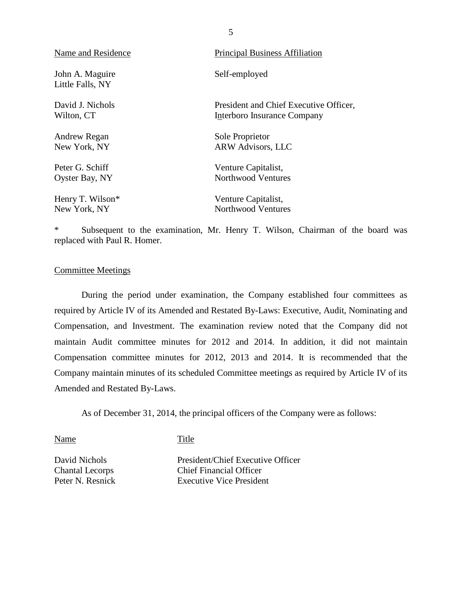| Name and Residence                  | <b>Principal Business Affiliation</b>  |
|-------------------------------------|----------------------------------------|
| John A. Maguire<br>Little Falls, NY | Self-employed                          |
| David J. Nichols                    | President and Chief Executive Officer, |
| Wilton, CT                          | Interboro Insurance Company            |
| Andrew Regan                        | Sole Proprietor                        |
| New York, NY                        | <b>ARW Advisors, LLC</b>               |
| Peter G. Schiff                     | Venture Capitalist,                    |
| Oyster Bay, NY                      | Northwood Ventures                     |
| Henry T. Wilson*                    | Venture Capitalist,                    |
| New York, NY                        | Northwood Ventures                     |

\* Subsequent to the examination, Mr. Henry T. Wilson, Chairman of the board was replaced with Paul R. Homer.

#### <span id="page-6-0"></span>Committee Meetings

During the period under examination, the Company established four committees as required by Article IV of its Amended and Restated By-Laws: Executive, Audit, Nominating and Compensation, and Investment. The examination review noted that the Company did not maintain Audit committee minutes for 2012 and 2014. In addition, it did not maintain Compensation committee minutes for 2012, 2013 and 2014. It is recommended that the Company maintain minutes of its scheduled Committee meetings as required by Article IV of its Amended and Restated By-Laws.

As of December 31, 2014, the principal officers of the Company were as follows:

Name Title

David Nichols President/Chief Executive Officer Chantal Lecorps Chief Financial Officer Peter N. Resnick Executive Vice President

5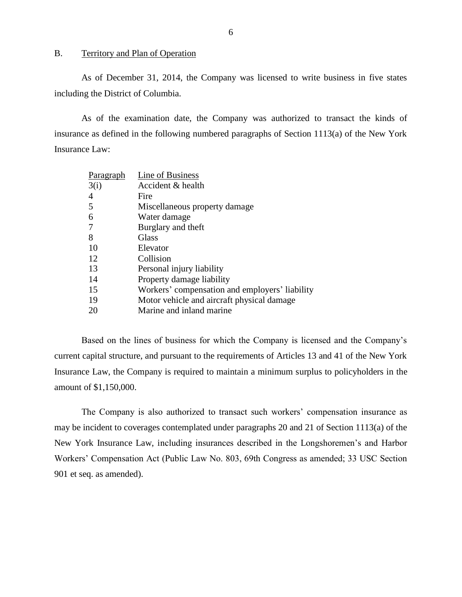#### <span id="page-7-0"></span>B. Territory and Plan of Operation

As of December 31, 2014, the Company was licensed to write business in five states including the District of Columbia.

As of the examination date, the Company was authorized to transact the kinds of insurance as defined in the following numbered paragraphs of Section  $1113(a)$  of the New York Insurance Law:

| Paragraph | Line of Business                               |
|-----------|------------------------------------------------|
| 3(i)      | Accident & health                              |
| 4         | Fire                                           |
| 5         | Miscellaneous property damage                  |
| 6         | Water damage                                   |
| 7         | Burglary and theft                             |
| 8         | Glass                                          |
| 10        | Elevator                                       |
| 12        | Collision                                      |
| 13        | Personal injury liability                      |
| 14        | Property damage liability                      |
| 15        | Workers' compensation and employers' liability |
| 19        | Motor vehicle and aircraft physical damage.    |
| 20        | Marine and inland marine                       |

 Based on the lines of business for which the Company is licensed and the Company's current capital structure, and pursuant to the requirements of Articles 13 and 41 of the New York Insurance Law, the Company is required to maintain a minimum surplus to policyholders in the amount of \$1,150,000.

 The Company is also authorized to transact such workers' compensation insurance as New York Insurance Law, including insurances described in the Longshoremen's and Harbor Workers' Compensation Act (Public Law No. 803, 69th Congress as amended; 33 USC Section may be incident to coverages contemplated under paragraphs 20 and 21 of Section 1113(a) of the 901 et seq. as amended).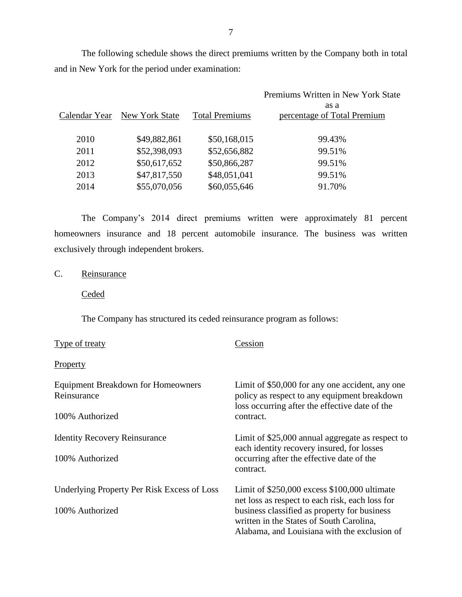The following schedule shows the direct premiums written by the Company both in total and in New York for the period under examination:

|               |                |                       | Premiums Written in New York State  |
|---------------|----------------|-----------------------|-------------------------------------|
| Calendar Year | New York State | <b>Total Premiums</b> | as a<br>percentage of Total Premium |
| 2010          | \$49,882,861   | \$50,168,015          | 99.43%                              |
| 2011          | \$52,398,093   | \$52,656,882          | 99.51%                              |
| 2012          | \$50,617,652   | \$50,866,287          | 99.51%                              |
| 2013          | \$47,817,550   | \$48,051,041          | 99.51%                              |
| 2014          | \$55,070,056   | \$60,055,646          | 91.70%                              |
|               |                |                       |                                     |

 The Company's 2014 direct premiums written were approximately 81 percent homeowners insurance and 18 percent automobile insurance. The business was written exclusively through independent brokers.

<span id="page-8-0"></span>C. Reinsurance

**Ceded** 

The Company has structured its ceded reinsurance program as follows:

| Type of treaty                                           | Cession                                                                                                                                           |
|----------------------------------------------------------|---------------------------------------------------------------------------------------------------------------------------------------------------|
| <b>Property</b>                                          |                                                                                                                                                   |
| <b>Equipment Breakdown for Homeowners</b><br>Reinsurance | Limit of \$50,000 for any one accident, any one<br>policy as respect to any equipment breakdown<br>loss occurring after the effective date of the |
| 100% Authorized                                          | contract.                                                                                                                                         |
| <b>Identity Recovery Reinsurance</b>                     | Limit of \$25,000 annual aggregate as respect to<br>each identity recovery insured, for losses                                                    |
| 100% Authorized                                          | occurring after the effective date of the<br>contract.                                                                                            |
| Underlying Property Per Risk Excess of Loss              | Limit of $$250,000$ excess $$100,000$ ultimate<br>net loss as respect to each risk, each loss for                                                 |
| 100% Authorized                                          | business classified as property for business<br>written in the States of South Carolina,<br>Alabama, and Louisiana with the exclusion of          |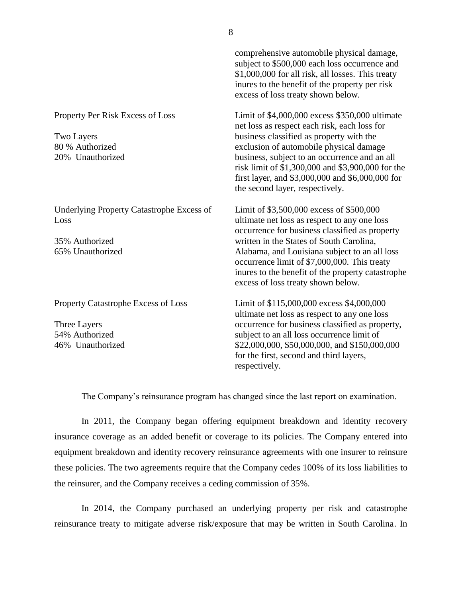|                                                                                                | comprehensive automobile physical damage,<br>subject to \$500,000 each loss occurrence and<br>\$1,000,000 for all risk, all losses. This treaty<br>inures to the benefit of the property per risk<br>excess of loss treaty shown below.                                                                                                                                            |
|------------------------------------------------------------------------------------------------|------------------------------------------------------------------------------------------------------------------------------------------------------------------------------------------------------------------------------------------------------------------------------------------------------------------------------------------------------------------------------------|
| Property Per Risk Excess of Loss<br><b>Two Layers</b><br>80 % Authorized<br>20% Unauthorized   | Limit of \$4,000,000 excess \$350,000 ultimate<br>net loss as respect each risk, each loss for<br>business classified as property with the<br>exclusion of automobile physical damage<br>business, subject to an occurrence and an all<br>risk limit of \$1,300,000 and \$3,900,000 for the<br>first layer, and \$3,000,000 and \$6,000,000 for<br>the second layer, respectively. |
| <b>Underlying Property Catastrophe Excess of</b><br>Loss<br>35% Authorized<br>65% Unauthorized | Limit of \$3,500,000 excess of \$500,000<br>ultimate net loss as respect to any one loss<br>occurrence for business classified as property<br>written in the States of South Carolina,<br>Alabama, and Louisiana subject to an all loss<br>occurrence limit of \$7,000,000. This treaty<br>inures to the benefit of the property catastrophe<br>excess of loss treaty shown below. |
| Property Catastrophe Excess of Loss<br>Three Layers<br>54% Authorized<br>46% Unauthorized      | Limit of \$115,000,000 excess \$4,000,000<br>ultimate net loss as respect to any one loss<br>occurrence for business classified as property,<br>subject to an all loss occurrence limit of<br>\$22,000,000, \$50,000,000, and \$150,000,000<br>for the first, second and third layers,<br>respectively.                                                                            |

The Company's reinsurance program has changed since the last report on examination.

In 2011, the Company began offering equipment breakdown and identity recovery insurance coverage as an added benefit or coverage to its policies. The Company entered into equipment breakdown and identity recovery reinsurance agreements with one insurer to reinsure these policies. The two agreements require that the Company cedes 100% of its loss liabilities to the reinsurer, and the Company receives a ceding commission of 35%.

In 2014, the Company purchased an underlying property per risk and catastrophe reinsurance treaty to mitigate adverse risk/exposure that may be written in South Carolina. In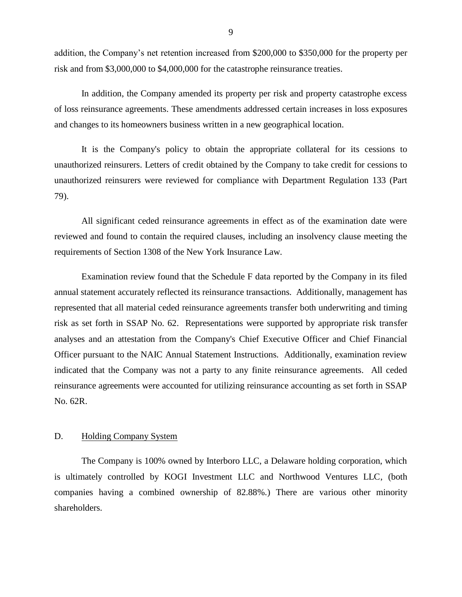addition, the Company's net retention increased from \$200,000 to \$350,000 for the property per risk and from \$3,000,000 to \$4,000,000 for the catastrophe reinsurance treaties.

In addition, the Company amended its property per risk and property catastrophe excess of loss reinsurance agreements. These amendments addressed certain increases in loss exposures and changes to its homeowners business written in a new geographical location.

It is the Company's policy to obtain the appropriate collateral for its cessions to unauthorized reinsurers. Letters of credit obtained by the Company to take credit for cessions to unauthorized reinsurers were reviewed for compliance with Department Regulation 133 (Part 79).

All significant ceded reinsurance agreements in effect as of the examination date were reviewed and found to contain the required clauses, including an insolvency clause meeting the requirements of Section 1308 of the New York Insurance Law.

Examination review found that the Schedule F data reported by the Company in its filed annual statement accurately reflected its reinsurance transactions. Additionally, management has represented that all material ceded reinsurance agreements transfer both underwriting and timing risk as set forth in SSAP No. 62. Representations were supported by appropriate risk transfer analyses and an attestation from the Company's Chief Executive Officer and Chief Financial Officer pursuant to the NAIC Annual Statement Instructions. Additionally, examination review indicated that the Company was not a party to any finite reinsurance agreements. All ceded reinsurance agreements were accounted for utilizing reinsurance accounting as set forth in SSAP No. 62R.

#### <span id="page-10-0"></span>D. Holding Company System

The Company is 100% owned by Interboro LLC, a Delaware holding corporation, which is ultimately controlled by KOGI Investment LLC and Northwood Ventures LLC, (both companies having a combined ownership of 82.88%.) There are various other minority shareholders.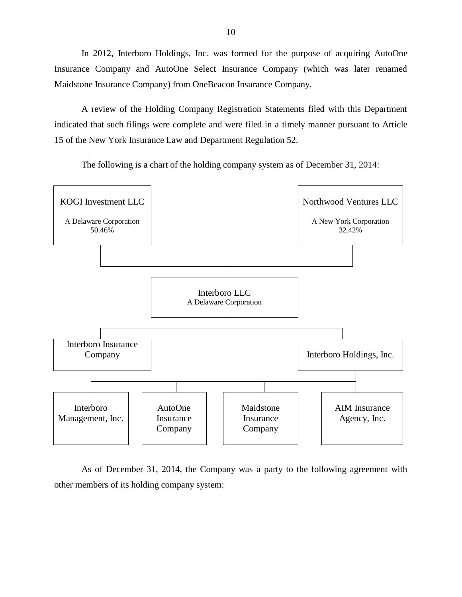In 2012, Interboro Holdings, Inc. was formed for the purpose of acquiring AutoOne Insurance Company and AutoOne Select Insurance Company (which was later renamed Maidstone Insurance Company) from OneBeacon Insurance Company.

A review of the Holding Company Registration Statements filed with this Department indicated that such filings were complete and were filed in a timely manner pursuant to Article 15 of the New York Insurance Law and Department Regulation 52.

The following is a chart of the holding company system as of December 31, 2014:



As of December 31, 2014, the Company was a party to the following agreement with other members of its holding company system: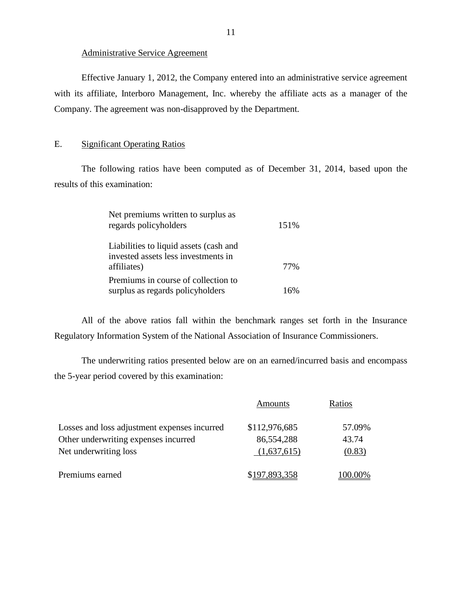#### Administrative Service Agreement

Effective January 1, 2012, the Company entered into an administrative service agreement with its affiliate, Interboro Management, Inc. whereby the affiliate acts as a manager of the Company. The agreement was non-disapproved by the Department.

#### <span id="page-12-0"></span>E. Significant Operating Ratios

The following ratios have been computed as of December 31, 2014, based upon the results of this examination:

| Net premiums written to surplus as<br>regards policyholders                                  | 151% |
|----------------------------------------------------------------------------------------------|------|
| Liabilities to liquid assets (cash and<br>invested assets less investments in<br>affiliates) | 77%  |
| Premiums in course of collection to<br>surplus as regards policyholders                      | 16%  |

All of the above ratios fall within the benchmark ranges set forth in the Insurance Regulatory Information System of the National Association of Insurance Commissioners.

The underwriting ratios presented below are on an earned/incurred basis and encompass the 5-year period covered by this examination:

|                                              | Amounts       | Ratios  |
|----------------------------------------------|---------------|---------|
| Losses and loss adjustment expenses incurred | \$112,976,685 | 57.09%  |
| Other underwriting expenses incurred         | 86,554,288    | 43.74   |
| Net underwriting loss                        | (1,637,615)   | (0.83)  |
| Premiums earned                              | \$197,893,358 | 100.00% |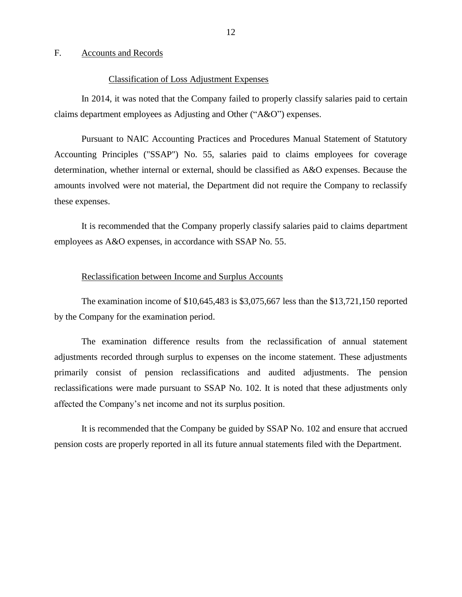#### <span id="page-13-0"></span>F. Accounts and Records

#### Classification of Loss Adjustment Expenses

<span id="page-13-1"></span>In 2014, it was noted that the Company failed to properly classify salaries paid to certain claims department employees as Adjusting and Other ("A&O") expenses.

Pursuant to NAIC Accounting Practices and Procedures Manual Statement of Statutory Accounting Principles ("SSAP") No. 55, salaries paid to claims employees for coverage determination, whether internal or external, should be classified as A&O expenses. Because the amounts involved were not material, the Department did not require the Company to reclassify these expenses.

It is recommended that the Company properly classify salaries paid to claims department employees as A&O expenses, in accordance with SSAP No. 55.

#### <span id="page-13-2"></span>Reclassification between Income and Surplus Accounts

The examination income of \$10,645,483 is \$3,075,667 less than the \$13,721,150 reported by the Company for the examination period.

 affected the Company's net income and not its surplus position. The examination difference results from the reclassification of annual statement adjustments recorded through surplus to expenses on the income statement. These adjustments primarily consist of pension reclassifications and audited adjustments. The pension reclassifications were made pursuant to SSAP No. 102. It is noted that these adjustments only

It is recommended that the Company be guided by SSAP No. 102 and ensure that accrued pension costs are properly reported in all its future annual statements filed with the Department.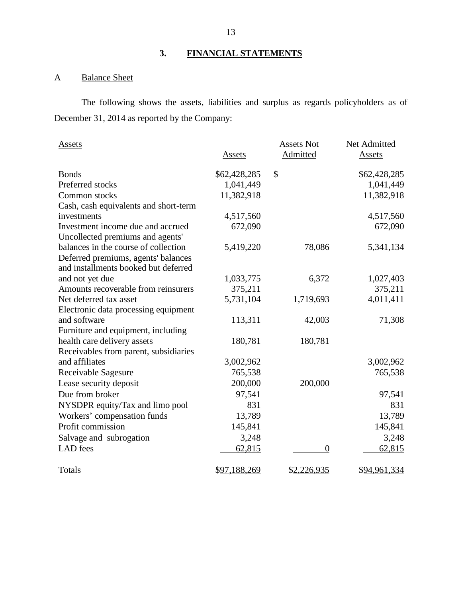## <span id="page-14-0"></span>**3. FINANCIAL STATEMENTS**

## <span id="page-14-1"></span>A Balance Sheet

The following shows the assets, liabilities and surplus as regards policyholders as of December 31, 2014 as reported by the Company:

| Assets                                |               | <b>Assets Not</b> | Net Admitted  |
|---------------------------------------|---------------|-------------------|---------------|
|                                       | <b>Assets</b> | Admitted          | <b>Assets</b> |
| <b>Bonds</b>                          | \$62,428,285  | \$                | \$62,428,285  |
| Preferred stocks                      | 1,041,449     |                   | 1,041,449     |
| Common stocks                         | 11,382,918    |                   | 11,382,918    |
| Cash, cash equivalents and short-term |               |                   |               |
| investments                           | 4,517,560     |                   | 4,517,560     |
| Investment income due and accrued     | 672,090       |                   | 672,090       |
| Uncollected premiums and agents'      |               |                   |               |
| balances in the course of collection  | 5,419,220     | 78,086            | 5,341,134     |
| Deferred premiums, agents' balances   |               |                   |               |
| and installments booked but deferred  |               |                   |               |
| and not yet due                       | 1,033,775     | 6,372             | 1,027,403     |
| Amounts recoverable from reinsurers   | 375,211       |                   | 375,211       |
| Net deferred tax asset                | 5,731,104     | 1,719,693         | 4,011,411     |
| Electronic data processing equipment  |               |                   |               |
| and software                          | 113,311       | 42,003            | 71,308        |
| Furniture and equipment, including    |               |                   |               |
| health care delivery assets           | 180,781       | 180,781           |               |
| Receivables from parent, subsidiaries |               |                   |               |
| and affiliates                        | 3,002,962     |                   | 3,002,962     |
| Receivable Sagesure                   | 765,538       |                   | 765,538       |
| Lease security deposit                | 200,000       | 200,000           |               |
| Due from broker                       | 97,541        |                   | 97,541        |
| NYSDPR equity/Tax and limo pool       | 831           |                   | 831           |
| Workers' compensation funds           | 13,789        |                   | 13,789        |
| Profit commission                     | 145,841       |                   | 145,841       |
| Salvage and subrogation               | 3,248         |                   | 3,248         |
| <b>LAD</b> fees                       | 62,815        | $\overline{0}$    | 62,815        |
|                                       |               |                   |               |
| Totals                                | \$97,188,269  | \$2,226,935       | \$94,961,334  |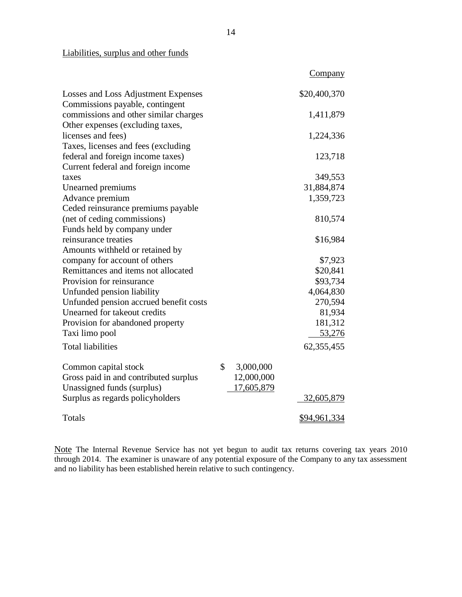### Liabilities, surplus and other funds

|                                        |                 | <b>Company</b>    |
|----------------------------------------|-----------------|-------------------|
| Losses and Loss Adjustment Expenses    |                 | \$20,400,370      |
| Commissions payable, contingent        |                 |                   |
| commissions and other similar charges  |                 | 1,411,879         |
| Other expenses (excluding taxes,       |                 |                   |
| licenses and fees)                     |                 | 1,224,336         |
| Taxes, licenses and fees (excluding    |                 |                   |
| federal and foreign income taxes)      |                 | 123,718           |
| Current federal and foreign income     |                 |                   |
| taxes                                  |                 | 349,553           |
| Unearned premiums                      |                 | 31,884,874        |
| Advance premium                        |                 | 1,359,723         |
| Ceded reinsurance premiums payable     |                 |                   |
| (net of ceding commissions)            |                 | 810,574           |
| Funds held by company under            |                 |                   |
| reinsurance treaties                   |                 | \$16,984          |
| Amounts withheld or retained by        |                 |                   |
| company for account of others          |                 | \$7,923           |
| Remittances and items not allocated    |                 | \$20,841          |
| Provision for reinsurance              |                 | \$93,734          |
| Unfunded pension liability             |                 | 4,064,830         |
| Unfunded pension accrued benefit costs |                 | 270,594           |
| Unearned for takeout credits           |                 | 81,934            |
| Provision for abandoned property       |                 | 181,312           |
| Taxi limo pool                         |                 | 53,276            |
| <b>Total liabilities</b>               |                 | 62, 355, 455      |
| Common capital stock                   | \$<br>3,000,000 |                   |
| Gross paid in and contributed surplus  | 12,000,000      |                   |
| Unassigned funds (surplus)             | 17,605,879      |                   |
| Surplus as regards policyholders       |                 | <u>32,605,879</u> |
| Totals                                 |                 | \$94,961,334      |

Note The Internal Revenue Service has not yet begun to audit tax returns covering tax years 2010 through 2014. The examiner is unaware of any potential exposure of the Company to any tax assessment and no liability has been established herein relative to such contingency.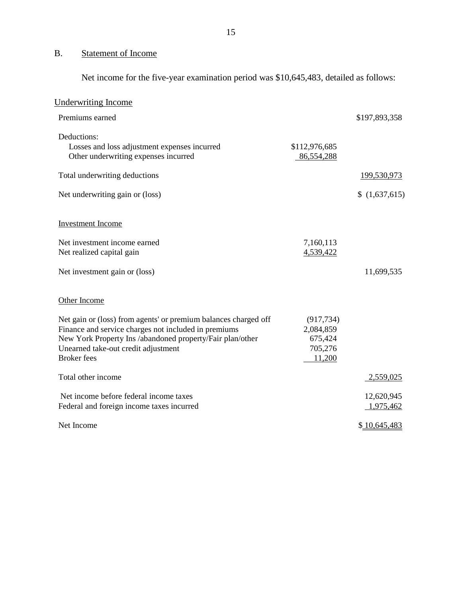# <span id="page-16-0"></span>B. Statement of Income

Net income for the five-year examination period was \$10,645,483, detailed as follows:

| <b>Underwriting Income</b>                                                                                                                                                                                                                        |                                                         |                         |
|---------------------------------------------------------------------------------------------------------------------------------------------------------------------------------------------------------------------------------------------------|---------------------------------------------------------|-------------------------|
| Premiums earned                                                                                                                                                                                                                                   |                                                         | \$197,893,358           |
| Deductions:<br>Losses and loss adjustment expenses incurred<br>Other underwriting expenses incurred                                                                                                                                               | \$112,976,685<br>86,554,288                             |                         |
| Total underwriting deductions                                                                                                                                                                                                                     |                                                         | 199,530,973             |
| Net underwriting gain or (loss)                                                                                                                                                                                                                   |                                                         | \$(1,637,615)           |
| <b>Investment Income</b>                                                                                                                                                                                                                          |                                                         |                         |
| Net investment income earned<br>Net realized capital gain                                                                                                                                                                                         | 7,160,113<br>4,539,422                                  |                         |
| Net investment gain or (loss)                                                                                                                                                                                                                     |                                                         | 11,699,535              |
| Other Income                                                                                                                                                                                                                                      |                                                         |                         |
| Net gain or (loss) from agents' or premium balances charged off<br>Finance and service charges not included in premiums<br>New York Property Ins /abandoned property/Fair plan/other<br>Unearned take-out credit adjustment<br><b>Broker</b> fees | (917, 734)<br>2,084,859<br>675,424<br>705,276<br>11,200 |                         |
| Total other income                                                                                                                                                                                                                                |                                                         | 2,559,025               |
| Net income before federal income taxes<br>Federal and foreign income taxes incurred                                                                                                                                                               |                                                         | 12,620,945<br>1,975,462 |
| Net Income                                                                                                                                                                                                                                        |                                                         | \$10,645,483            |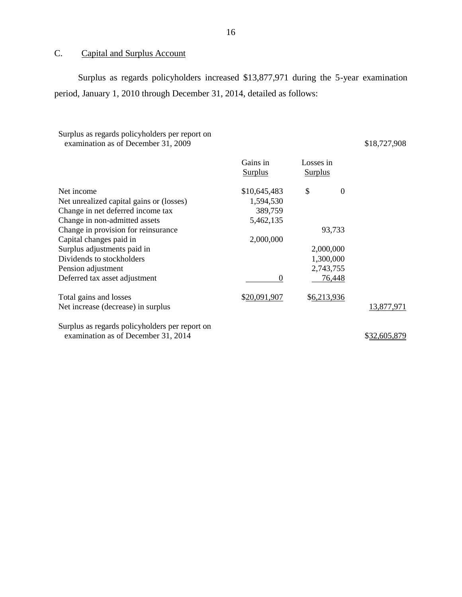### <span id="page-17-0"></span>C. Capital and Surplus Account

Surplus as regards policyholders increased \$13,877,971 during the 5-year examination period, January 1, 2010 through December 31, 2014, detailed as follows:

### Surplus as regards policyholders per report on examination as of December 31, 2009

\$18,727,908

|                                                | Gains in<br><b>Surplus</b> | Losses in<br><b>Surplus</b> |              |
|------------------------------------------------|----------------------------|-----------------------------|--------------|
| Net income                                     | \$10,645,483               | \$<br>$\overline{0}$        |              |
| Net unrealized capital gains or (losses)       | 1,594,530                  |                             |              |
| Change in net deferred income tax              | 389,759                    |                             |              |
| Change in non-admitted assets                  | 5,462,135                  |                             |              |
| Change in provision for reinsurance            |                            | 93,733                      |              |
| Capital changes paid in                        | 2,000,000                  |                             |              |
| Surplus adjustments paid in                    |                            | 2,000,000                   |              |
| Dividends to stockholders                      |                            | 1,300,000                   |              |
| Pension adjustment                             |                            | 2,743,755                   |              |
| Deferred tax asset adjustment                  | $\Omega$                   | 76,448                      |              |
| Total gains and losses                         | \$20,091,907               | \$6,213,936                 |              |
| Net increase (decrease) in surplus             |                            |                             | 13,877,971   |
| Surplus as regards policyholders per report on |                            |                             |              |
| examination as of December 31, 2014            |                            |                             | \$32,605,879 |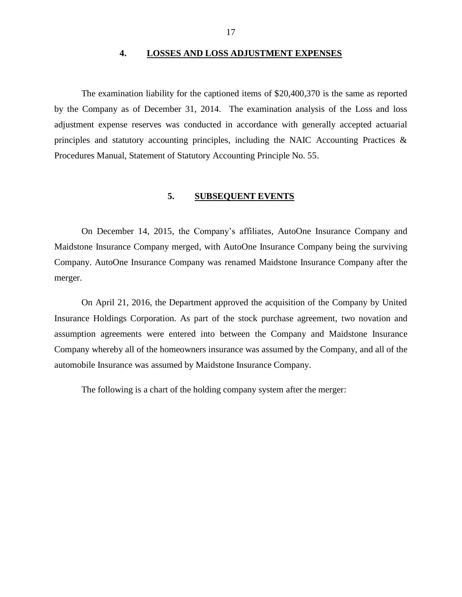#### **4. LOSSES AND LOSS ADJUSTMENT EXPENSES**

<span id="page-18-0"></span>The examination liability for the captioned items of \$20,400,370 is the same as reported by the Company as of December 31, 2014. The examination analysis of the Loss and loss adjustment expense reserves was conducted in accordance with generally accepted actuarial principles and statutory accounting principles, including the NAIC Accounting Practices & Procedures Manual, Statement of Statutory Accounting Principle No. 55.

## **5. SUBSEQUENT EVENTS**

<span id="page-18-1"></span>On December 14, 2015, the Company's affiliates, AutoOne Insurance Company and Maidstone Insurance Company merged, with AutoOne Insurance Company being the surviving Company. AutoOne Insurance Company was renamed Maidstone Insurance Company after the merger.

On April 21, 2016, the Department approved the acquisition of the Company by United Insurance Holdings Corporation. As part of the stock purchase agreement, two novation and assumption agreements were entered into between the Company and Maidstone Insurance Company whereby all of the homeowners insurance was assumed by the Company, and all of the automobile Insurance was assumed by Maidstone Insurance Company.

The following is a chart of the holding company system after the merger: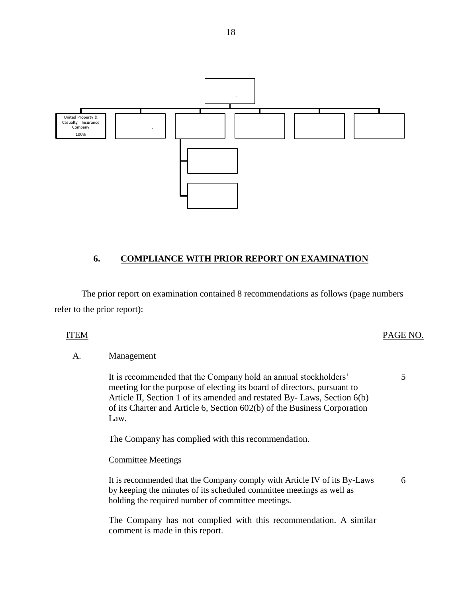

### <span id="page-19-0"></span>**6. COMPLIANCE WITH PRIOR REPORT ON EXAMINATION**

The prior report on examination contained 8 recommendations as follows (page numbers refer to the prior report):

#### ITEM PAGE NO.

5

6

#### A. Management

 It is recommended that the Company hold an annual stockholders' meeting for the purpose of electing its board of directors, pursuant to Article II, Section 1 of its amended and restated By- Laws, Section 6(b) of its Charter and Article 6, Section 602(b) of the Business Corporation Law.

The Company has complied with this recommendation.

#### Committee Meetings

It is recommended that the Company comply with Article IV of its By-Laws by keeping the minutes of its scheduled committee meetings as well as holding the required number of committee meetings.

The Company has not complied with this recommendation. A similar comment is made in this report.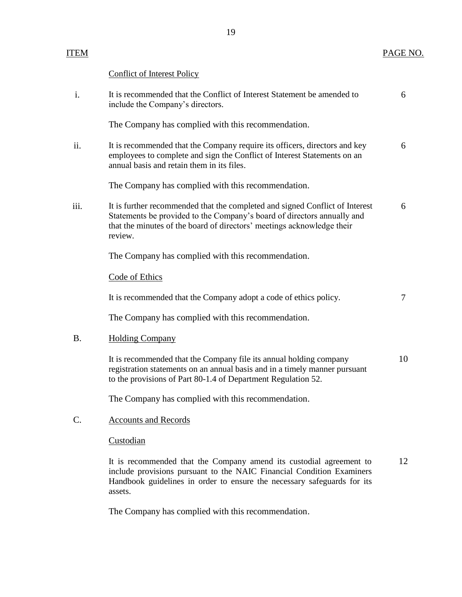Conflict of Interest Policy

| i.        | It is recommended that the Conflict of Interest Statement be amended to<br>include the Company's directors.                                                                                                                                  | 6  |
|-----------|----------------------------------------------------------------------------------------------------------------------------------------------------------------------------------------------------------------------------------------------|----|
|           | The Company has complied with this recommendation.                                                                                                                                                                                           |    |
| ii.       | It is recommended that the Company require its officers, directors and key<br>employees to complete and sign the Conflict of Interest Statements on an<br>annual basis and retain them in its files.                                         | 6  |
|           | The Company has complied with this recommendation.                                                                                                                                                                                           |    |
| iii.      | It is further recommended that the completed and signed Conflict of Interest<br>Statements be provided to the Company's board of directors annually and<br>that the minutes of the board of directors' meetings acknowledge their<br>review. | 6  |
|           | The Company has complied with this recommendation.                                                                                                                                                                                           |    |
|           | Code of Ethics                                                                                                                                                                                                                               |    |
|           | It is recommended that the Company adopt a code of ethics policy.                                                                                                                                                                            | 7  |
|           | The Company has complied with this recommendation.                                                                                                                                                                                           |    |
| <b>B.</b> | <b>Holding Company</b>                                                                                                                                                                                                                       |    |
|           | It is recommended that the Company file its annual holding company<br>registration statements on an annual basis and in a timely manner pursuant<br>to the provisions of Part 80-1.4 of Department Regulation 52.                            | 10 |
|           | The Company has complied with this recommendation.                                                                                                                                                                                           |    |
| $C$ .     | <b>Accounts and Records</b>                                                                                                                                                                                                                  |    |

**Custodian** 

It is recommended that the Company amend its custodial agreement to include provisions pursuant to the NAIC Financial Condition Examiners Handbook guidelines in order to ensure the necessary safeguards for its assets. 12

The Company has complied with this recommendation.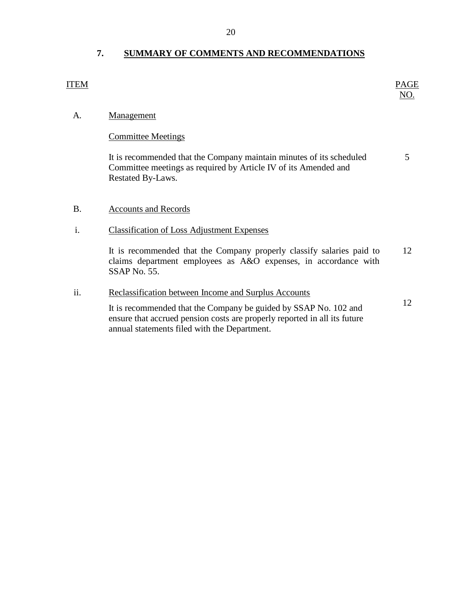## <span id="page-21-0"></span>**7. SUMMARY OF COMMENTS AND RECOMMENDATIONS**

| ITEM           |                                                                                                                                                                                               | <b>PAGE</b><br>NO. |
|----------------|-----------------------------------------------------------------------------------------------------------------------------------------------------------------------------------------------|--------------------|
| A.             | <b>Management</b>                                                                                                                                                                             |                    |
|                | <b>Committee Meetings</b>                                                                                                                                                                     |                    |
|                | It is recommended that the Company maintain minutes of its scheduled<br>Committee meetings as required by Article IV of its Amended and<br>Restated By-Laws.                                  | 5                  |
| <b>B.</b>      | <b>Accounts and Records</b>                                                                                                                                                                   |                    |
| $\mathbf{i}$ . | <b>Classification of Loss Adjustment Expenses</b>                                                                                                                                             |                    |
|                | It is recommended that the Company properly classify salaries paid to<br>claims department employees as A&O expenses, in accordance with<br>SSAP No. 55.                                      | 12                 |
| ii.            | Reclassification between Income and Surplus Accounts                                                                                                                                          |                    |
|                | It is recommended that the Company be guided by SSAP No. 102 and<br>ensure that accrued pension costs are properly reported in all its future<br>annual statements filed with the Department. | 12                 |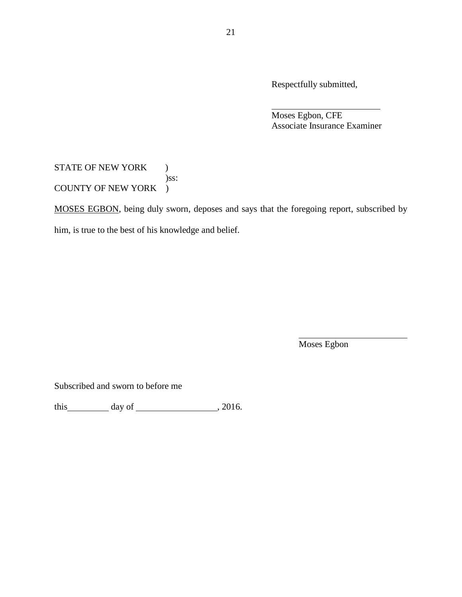Respectfully submitted,

Moses Egbon, CFE Associate Insurance Examiner

### STATE OF NEW YORK ) )ss: COUNTY OF NEW YORK )

MOSES EGBON, being duly sworn, deposes and says that the foregoing report, subscribed by him, is true to the best of his knowledge and belief.

Moses Egbon

Subscribed and sworn to before me

this  $\qquad \qquad$  day of  $\qquad \qquad$  2016.